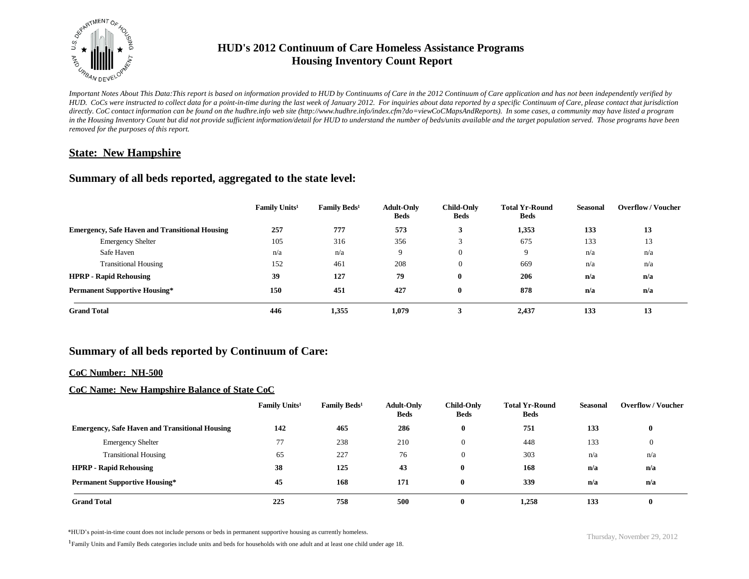

# **HUD's 2012 Continuum of Care Homeless Assistance Programs Housing Inventory Count Report**

*Important Notes About This Data:This report is based on information provided to HUD by Continuums of Care in the 2012 Continuum of Care application and has not been independently verified by HUD. CoCs were instructed to collect data for a point-in-time during the last week of January 2012. For inquiries about data reported by a specific Continuum of Care, please contact that jurisdiction directly. CoC contact information can be found on the hudhre.info web site (http://www.hudhre.info/index.cfm?do=viewCoCMapsAndReports). In some cases, a community may have listed a program*  in the Housing Inventory Count but did not provide sufficient information/detail for HUD to understand the number of beds/units available and the target population served. Those programs have been *removed for the purposes of this report.*

## **State: New Hampshire**

## **Summary of all beds reported, aggregated to the state level:**

|                                                       | Family Units <sup>1</sup> | Family Beds <sup>1</sup> | <b>Adult-Only</b><br><b>Beds</b> | <b>Child-Only</b><br><b>Beds</b> | <b>Total Yr-Round</b><br><b>Beds</b> | Seasonal | <b>Overflow/Voucher</b> |
|-------------------------------------------------------|---------------------------|--------------------------|----------------------------------|----------------------------------|--------------------------------------|----------|-------------------------|
| <b>Emergency, Safe Haven and Transitional Housing</b> | 257                       | 777                      | 573                              | 3                                | 1,353                                | 133      | 13                      |
| <b>Emergency Shelter</b>                              | 105                       | 316                      | 356                              |                                  | 675                                  | 133      | 13                      |
| Safe Haven                                            | n/a                       | n/a                      | 9                                | $\overline{0}$                   | 9                                    | n/a      | n/a                     |
| <b>Transitional Housing</b>                           | 152                       | 461                      | 208                              | $\Omega$                         | 669                                  | n/a      | n/a                     |
| <b>HPRP - Rapid Rehousing</b>                         | 39                        | 127                      | 79                               | $\bf{0}$                         | 206                                  | n/a      | n/a                     |
| <b>Permanent Supportive Housing*</b>                  | 150                       | 451                      | 427                              | $\bf{0}$                         | 878                                  | n/a      | n/a                     |
| <b>Grand Total</b>                                    | 446                       | 1,355                    | 1,079                            |                                  | 2,437                                | 133      | 13                      |

## **Summary of all beds reported by Continuum of Care:**

### **CoC Number: NH-500**

## **CoC Name: New Hampshire Balance of State CoC**

|                                                       | Family Units <sup>1</sup> | <b>Family Beds<sup>1</sup></b> | <b>Adult-Only</b><br><b>Beds</b> | Child-Only<br><b>Beds</b> | <b>Total Yr-Round</b><br><b>Beds</b> | <b>Seasonal</b> | <b>Overflow/Voucher</b> |
|-------------------------------------------------------|---------------------------|--------------------------------|----------------------------------|---------------------------|--------------------------------------|-----------------|-------------------------|
| <b>Emergency, Safe Haven and Transitional Housing</b> | 142                       | 465                            | 286                              | $\mathbf{0}$              | 751                                  | 133             | $\bf{0}$                |
| <b>Emergency Shelter</b>                              | 77                        | 238                            | 210                              | $\overline{0}$            | 448                                  | 133             | $\overline{0}$          |
| <b>Transitional Housing</b>                           | 65                        | 227                            | 76                               | $\overline{0}$            | 303                                  | n/a             | n/a                     |
| <b>HPRP - Rapid Rehousing</b>                         | 38                        | 125                            | 43                               | 0                         | 168                                  | n/a             | n/a                     |
| <b>Permanent Supportive Housing*</b>                  | 45                        | 168                            | 171                              | o                         | 339                                  | n/a             | n/a                     |
| <b>Grand Total</b>                                    | 225                       | 758                            | 500                              |                           | 1,258                                | 133             |                         |

\*HUD's point-in-time count does not include persons or beds in permanent supportive housing as currently homeless.<br>
Thursday, November 29, 2012

<sup>1</sup>Family Units and Family Beds categories include units and beds for households with one adult and at least one child under age 18.